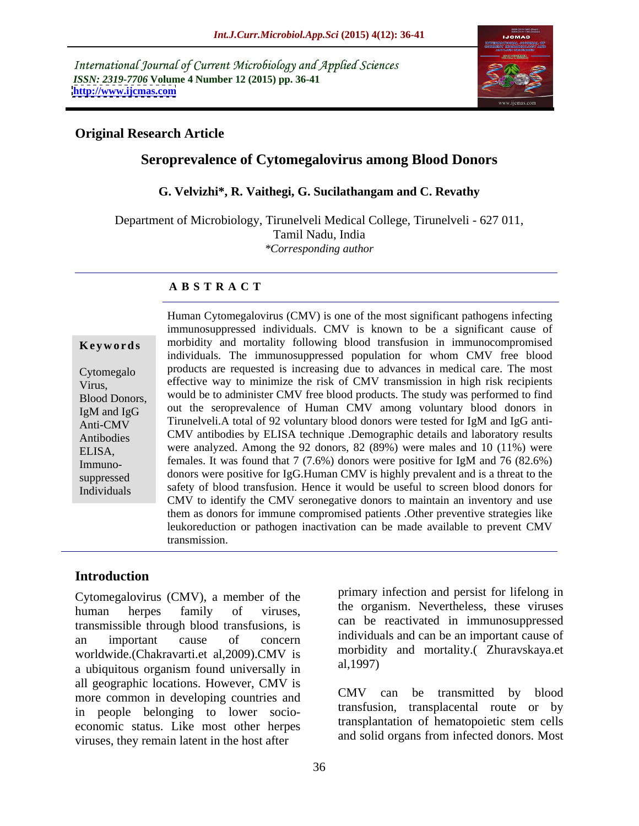International Journal of Current Microbiology and Applied Sciences *ISSN: 2319-7706* **Volume 4 Number 12 (2015) pp. 36-41 <http://www.ijcmas.com>**



## **Original Research Article**

# **Seroprevalence of Cytomegalovirus among Blood Donors**

### **G. Velvizhi\*, R. Vaithegi, G. Sucilathangam and C. Revathy**

Department of Microbiology, Tirunelveli Medical College, Tirunelveli - 627 011, Tamil Nadu, India *\*Corresponding author*

### **A B S T R A C T**

Individuals

Human Cytomegalovirus (CMV) is one of the most significant pathogens infecting immunosuppressed individuals. CMV is known to be a significant cause of **Keywords** morbidity and mortality following blood transfusion in immunocompromised individuals. The immunosuppressed population for whom CMV free blood products are requested is increasing due to advances in medical care.The most Cytomegalo effective way to minimize the risk of CMV transmission in high risk recipients Virus, Blood Donors, would be to administer CMV free blood products. The study was performed to find IgM and IgG out the seroprevalence of Human CMV among voluntary blood donors in  $\overrightarrow{\text{Anti-CMV}}$  Tirunelveli.A total of 92 voluntary blood donors were tested for IgM and IgG anti-CMV antibodies by ELISA technique .Demographic details and laboratory results Antibodies ELISA, were analyzed. Among the 92 donors, 82 (89%) were males and 10 (11%) were females. It was found that 7 (7.6%) donors were positive for IgM and 76 (82.6%) Immuno suppressed donors were positive for IgG.Human CMV is highly prevalent and is a threat to the safety of blood transfusion. Hence it would be useful to screen blood donors for CMV to identify the CMV seronegative donors to maintain an inventory and use them as donors for immune compromised patients .Other preventive strategies like leukoreduction or pathogen inactivation can be made available to prevent CMV transmission.

## **Introduction**

Cytomegalovirus (CMV), a member of the transmissible through blood transfusions, is worldwide.(Chakravarti.et al. 2009).CMV is morphold universally in al. 1997) a ubiquitous organism found universally in all geographic locations. However, CMV is<br>more common in developing countries and cMV can be transmitted by blood more common in developing countries and in people belonging to lower socio economic status. Like most other herpes viruses, they remain latent in the host after

human herpes family of viruses, the organism nevertheless, these viruses an important cause of concern individuals and can be an important cause of primary infection and persist for lifelong in the organism. Nevertheless, these viruses can be reactivated in immunosuppressed morbidity and mortality.( Zhuravskaya.et

al,1997)<br>CMV can be transmitted by blood transfusion, transplacental route or by transplantation of hematopoietic stem cells and solid organs from infected donors. Most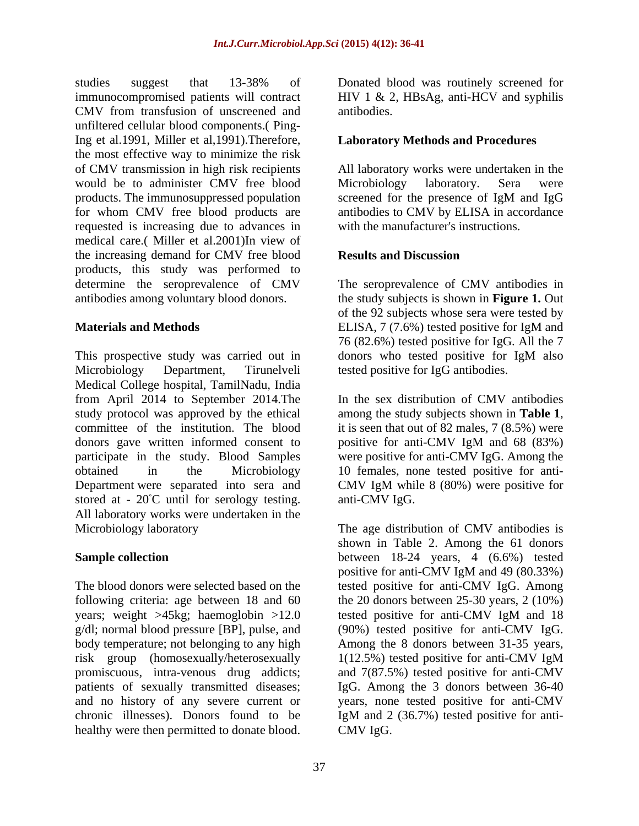studies suggest that 13-38% of Donated blood was routinely screened for immunocompromised patients will contract HIV 1 & 2, HBsAg, anti-HCV and syphilis CMV from transfusion of unscreened and unfiltered cellular blood components.( Ping-Ing et al.1991, Miller et al,1991).Therefore, the most effective way to minimize the risk of CMV transmission in high risk recipients would be to administer CMV free blood Microbiology laboratory. Sera were products. The immunosuppressed population screened for the presence of IgM and IgG for whom CMV free blood products are antibodies to CMV by ELISA in accordance requested is increasing due to advances in medical care.( Miller et al.2001)In view of the increasing demand for CMV free blood products, this study was performed to determine the seroprevalence of CMV The seroprevalence of CMV antibodies in antibodies among voluntary blood donors.

This prospective study was carried out in donors who tested positive for IgM also Microbiology Department, Tirunelveli tested positive for IgG antibodies. Medical College hospital, TamilNadu, India from April 2014 to September 2014.The study protocol was approved by the ethical among the study subjects shown in **Table 1**, committee of the institution. The blood it is seen that out of 82 males, 7 (8.5%) were donors gave written informed consent to positive for anti-CMV IgM and 68 (83%) participate in the study. Blood Samples were positive for anti-CMV IgG. Among the obtained in the Microbiology 10 females, none tested positive for anti- Department were separated into sera and CMV IgM while 8 (80%) were positive for stored at  $-20^{\circ}$ C until for serology testing. All laboratory works were undertaken in the Microbiology laboratory The age distribution of CMV antibodies is

years; weight >45kg; haemoglobin >12.0 tested positive for anti-CMV IgM and 18 risk group (homosexually/heterosexually 1(12.5%) tested positive for anti-CMV IgM healthy were then permitted to donate blood.

antibodies.

## **Laboratory Methods and Procedures**

All laboratory works were undertaken in the Microbiology laboratory. Sera were screened for the presence of IgM and IgG with the manufacturer's instructions.

### **Results and Discussion**

**Materials and Methods** ELISA, 7 (7.6%) tested positive for IgM and the study subjects is shown in **Figure 1.** Out of the 92 subjects whose sera were tested by 76 (82.6%) tested positive for IgG. All the 7 donors who tested positive for IgM also

> In the sex distribution of CMV antibodies among the study subjects shown in **Table <sup>1</sup>**, it is seen that out of 82 males, 7 (8.5%) were positive for anti-CMV IgM and 68 (83%) anti-CMV IgG.

**Sample collection** between 18-24 years, 4 (6.6%) tested The blood donors were selected based on the tested positive for anti-CMV IgG. Among following criteria: age between 18 and 60 the 20 donors between 25-30 years, 2 (10%) g/dl; normal blood pressure [BP], pulse, and (90%) tested positive for anti-CMV IgG. body temperature; not belonging to any high Among the 8 donors between 31-35 years, promiscuous, intra-venous drug addicts; and 7(87.5%) tested positive for anti-CMV patients of sexually transmitted diseases; IgG. Among the 3 donors between 36-40 and no history of any severe current or years, none tested positive for anti-CMV chronic illnesses). Donors found to be IgM and 2 (36.7%) tested positive for anti shown in Table 2. Among the 61 donors positive for anti-CMV IgM and 49 (80.33%) tested positive for anti-CMV IgM and 18 1(12.5%) tested positive for anti-CMV IgM CMV IgG.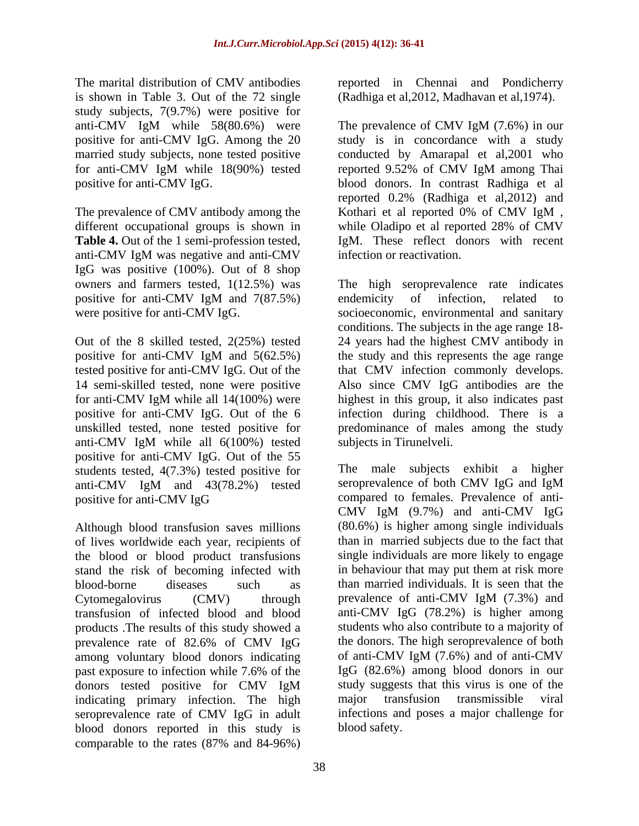The marital distribution of CMV antibodies reported in Chennai and Pondicherry is shown in Table 3. Out of the 72 single (Radhiga et al,2012, Madhavan et al,1974). study subjects, 7(9.7%) were positive for

The prevalence of CMV antibody among the Kothari et al reported 0% of CMV IgM, **Table 4.** Out of the 1 semi-profession tested, anti-CMV IgM was negative and anti-CMV IgG was positive (100%). Out of 8 shop owners and farmers tested, 1(12.5%) was

for anti-CMV IgM while all 14(100%) were anti-CMV IgM while all 6(100%) tested positive for anti-CMV IgG. Out of the 55 students tested, 4(7.3%) tested positive for The male subjects exhibit a higher<br>anti-CMV IgM and 43(78.2%) tested seroprevalence of both CMV IgG and IgM

of lives worldwide each year, recipients of the blood or blood product transfusions stand the risk of becoming infected with Cytomegalovirus (CMV) through prevalence of anti-CMV IgM (7.3%) and products .The results of this study showed a prevalence rate of 82.6% of CMV IgG among voluntary blood donors indicating past exposure to infection while 7.6% of the indicating primary infection. The high major transfusion transmissible viral seroprevalence rate of CMV IgG in adult blood donors reported in this study is comparable to the rates (87% and 84-96%)

anti-CMV IgM while 58(80.6%) were The prevalence of CMV IgM (7.6%) in our positive for anti-CMV IgG. Among the 20 study is in concordance with a study married study subjects, none tested positive conducted by Amarapal et al,2001 who for anti-CMV IgM while 18(90%) tested positive for anti-CMV IgG. blood donors. In contrast Radhiga et al different occupational groups is shown in while Oladipo et al reported 28% of CMV reported 9.52% of CMV IgM among Thai reported 0.2% (Radhiga et al,2012) and Kothari et al reported 0% of CMV IgM , IgM. These reflect donors with recent infection or reactivation.

positive for anti-CMV IgM and 7(87.5%) endemicity of infection, related to were positive for anti-CMV IgG.<br>
socioeconomic, environmental and sanitary<br>
conditions. The subjects in the age range 18-<br>
Out of the 8 skilled tested, 2(25%) tested 24 years had the highest CMV antibody in positive for anti-CMV IgM and 5(62.5%) the study and this represents the age range tested positive for anti-CMV IgG. Out of the that CMV infection commonly develops. 14 semi-skilled tested, none were positive Also since CMV IgG antibodies are the positive for anti-CMV IgG. Out of the 6 infection during childhood. There is a unskilled tested, none tested positive for predominance of males among the study The high seroprevalence rate indicates endemicity of infection, related to socioeconomic, environmental and sanitary conditions. The subjects in the age range 18- 24 years had the highest CMV antibody in the study and this represents the age range highest in this group, it also indicates past subjects in Tirunelveli.

anti-CMV IgM and 43(78.2%) tested positive for anti-CMV IgG compared to females. Prevalence of anti-Although blood transfusion saves millions (80.6%) is higher among single individuals blood-borne diseases such as than married individuals. It is seen that the transfusion of infected blood and blood anti-CMV IgG (78.2%) is higher among donors tested positive for CMV IgM study suggests that this virus is one of the The male subjects exhibit a higher seroprevalence of both CMV IgG and IgM compared to females. Prevalence of anti- CMV IgM (9.7%) and anti-CMV IgG than in married subjects due to the fact that single individuals are more likely to engage in behaviour that may put them at risk more prevalence of anti-CMV IgM (7.3%) and students who also contribute to a majority of the donors. The high seroprevalence of both of anti-CMV IgM (7.6%) and of anti-CMV IgG (82.6%) among blood donors in our study suggests that this virus is one of the major transfusion transmissible viral infections and poses a major challenge for blood safety.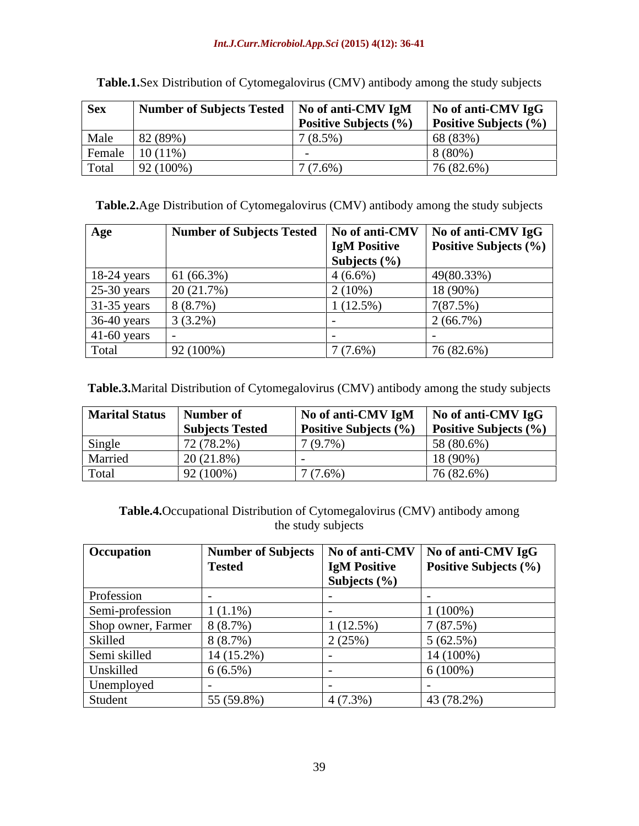| Sex    | Number of Subjects Tested | No of anti-CMV IgM    | No of anti-CMV IgG           |
|--------|---------------------------|-----------------------|------------------------------|
|        |                           | Positive Subjects (%) | <b>Positive Subjects (%)</b> |
| Male   | 82 (89%)                  | $(8.5\%)$             | 68 (83%)                     |
| Female | $10(11\%)$                |                       | 8 (80%)                      |
| Total  | $92(100\%$                | $7(7.6\%)$            | 76 (82.6%)                   |

**Table.1.**Sex Distribution of Cytomegalovirus (CMV) antibody among the study subjects

**Table.2.**Age Distribution of Cytomegalovirus (CMV) antibody among the study subjects

| Age           | <b>Number of Subjects Tested</b> |                     | $\vert$ No of anti-CMV $\vert$ No of anti-CMV IgG $\vert$ |
|---------------|----------------------------------|---------------------|-----------------------------------------------------------|
|               |                                  | <b>IgM Positive</b> | <b>Positive Subjects</b> $(\% )$                          |
|               |                                  | Subjects $(\% )$    |                                                           |
| $18-24$ years | 61 (66.3%)                       | $4(6.6\%)$          | 49(80.33%)                                                |
| $25-30$ years | 20(21.7%)                        | $2(10\%)$           | 18 (90%)                                                  |
| $31-35$ years | 8(8.7%)                          | $1(12.5\%)$         | 7(87.5%)                                                  |
| 36-40 years   | $3(3.2\%)$                       |                     | $2(66.7\%)$                                               |
| $41-60$ years |                                  |                     |                                                           |
| Total         | 92 (100%)                        | $7(7.6\%)$          | 76 (82.6%)                                                |

**Table.3.**Marital Distribution of Cytomegalovirus (CMV) antibody among the study subjects

| <b>Marital Status</b> | Number of              | No of anti-CMV IgM    | <sup>1</sup> No of anti-CMV IgG |
|-----------------------|------------------------|-----------------------|---------------------------------|
|                       | <b>Subjects Tested</b> | Positive Subjects (%) | <b>Positive Subjects (%)</b>    |
| Single                | (78.20)<br>12(10.270)  | (9.7%                 | 58 (80.6%)                      |
| Marrieo               | 20 (21.8%)             |                       | 18 (90%)                        |
| Total                 | 92 (100%)              | (7.6%                 | 76 (82.6%)                      |

**Table.4.**Occupational Distribution of Cytomegalovirus (CMV) antibody among the study subjects

| Occupation         | Number of Subjects   No of anti-CMV |                     | No of anti-CMV IgG    |
|--------------------|-------------------------------------|---------------------|-----------------------|
|                    | <b>Tested</b>                       | <b>IgM Positive</b> | Positive Subjects (%) |
|                    |                                     | Subjects $(\% )$    |                       |
| Profession         |                                     |                     |                       |
| Semi-profession    | $1(1.1\%)$                          |                     | $1(100\%)$            |
| Shop owner, Farmer | 8(8.7%)                             | 1(12.5%)            | 7(87.5%)              |
| Skilled            | 8(8.7%)                             | 2(25%)              | $5(62.5\%)$           |
| Semi skilled       | $14(15.2\%)$                        |                     | $14(100\%)$           |
| Unskilled          | $6(6.5\%)$                          |                     | $6(100\%)$            |
| Unemployed         |                                     |                     |                       |
| Student            | 55 (59.8%)                          | $4(7.3\%)$          | 43 (78.2%)            |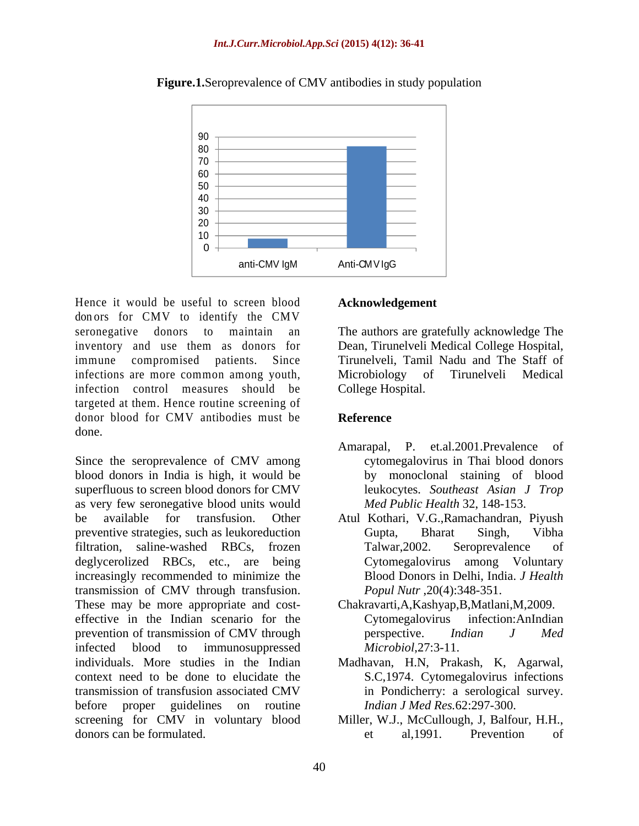

**Figure.1.**Seroprevalence of CMV antibodies in study population

Hence it would be useful to screen blood don ors for CMV to identify the CMV seronegative donors to maintain an The authors are gratefully acknowledge The inventory and use them as donors for Dean, Tirunelveli Medical College Hospital, immune compromised patients. Since Tirunelveli, Tamil Nadu and The Staff of infections are more common among youth, Microbiology infection control measures should be targeted at them. Hence routine screening of donor blood for CMV antibodies must be Reference done.

Since the seroprevalence of CMV among blood donors in India is high, it would be superfluous to screen blood donors for CMV as very few seronegative blood units would be available for transfusion. Other Atul Kothari, V.G.,Ramachandran, Piyush preventive strategies, such as leukoreduction Gupta, Bharat Singh, Vibha filtration, saline-washed RBCs, frozen deglycerolized RBCs, etc., are being increasingly recommended to minimize the transmission of CMV through transfusion. These may be more appropriate and cost effective in the Indian scenario for the Cytomegalovirus infection: An Indian prevention of transmission of CMV through perspective. Indian J Med infected blood to immunosuppressed *Microbiol*, 27:3-11. individuals. More studies in the Indian Madhavan, H.N, Prakash, K, Agarwal, context need to be done to elucidate the S.C,1974. Cytomegalovirus infections transmission of transfusion associated CMV before proper guidelines on routine screening for CMV in voluntary blood donors can be formulated.  $\qquad \qquad$  et al. 1991. Prevention of

### **Acknowledgement**

of Tirunelveli Medical College Hospital.

## **Reference**

- Amarapal, P. et.al.2001.Prevalence of cytomegalovirus in Thai blood donors by monoclonal staining of blood leukocytes. *Southeast Asian J Trop Med Public Health* 32, 148-153.
- Gupta, Bharat Singh, Vibha Talwar,2002. Seroprevalence of Cytomegalovirus among Voluntary Blood Donors in Delhi, India. *J Health Popul Nutr* ,20(4):348-351.
- Chakravarti,A,Kashyap,B,Matlani,M,2009. Cytomegalovirus infection:AnIndian perspective. *Indian J Med Microbiol*,27:3-11.
- in Pondicherry: a serological survey. *Indian J Med Res.*62:297-300.
- Miller, W.J., McCullough, J, Balfour, H.H., et al,1991. Prevention of